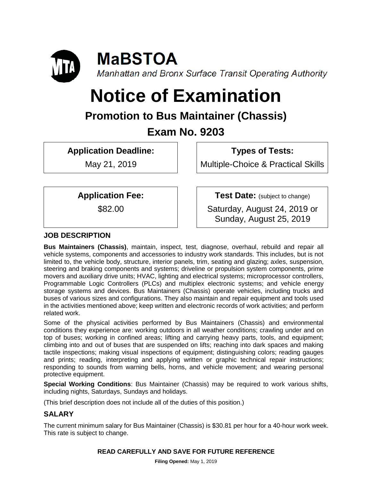

# **Notice of Examination**

## **Promotion to Bus Maintainer (Chassis)**

### **Exam No. 9203**

**Application Deadline:**

May 21, 2019

**Types of Tests:** 

Multiple-Choice & Practical Skills

**Application Fee:**

\$82.00

**Test Date:** (subject to change)

Saturday, August 24, 2019 or Sunday, August 25, 2019

### **JOB DESCRIPTION**

**Bus Maintainers (Chassis)**, maintain, inspect, test, diagnose, overhaul, rebuild and repair all vehicle systems, components and accessories to industry work standards. This includes, but is not limited to, the vehicle body, structure, interior panels, trim, seating and glazing; axles, suspension, steering and braking components and systems; driveline or propulsion system components, prime movers and auxiliary drive units; HVAC, lighting and electrical systems; microprocessor controllers, Programmable Logic Controllers (PLCs) and multiplex electronic systems; and vehicle energy storage systems and devices. Bus Maintainers (Chassis) operate vehicles, including trucks and buses of various sizes and configurations. They also maintain and repair equipment and tools used in the activities mentioned above; keep written and electronic records of work activities; and perform related work.

Some of the physical activities performed by Bus Maintainers (Chassis) and environmental conditions they experience are: working outdoors in all weather conditions; crawling under and on top of buses; working in confined areas; lifting and carrying heavy parts, tools, and equipment; climbing into and out of buses that are suspended on lifts; reaching into dark spaces and making tactile inspections; making visual inspections of equipment; distinguishing colors; reading gauges and prints; reading, interpreting and applying written or graphic technical repair instructions; responding to sounds from warning bells, horns, and vehicle movement; and wearing personal protective equipment.

**Special Working Conditions**: Bus Maintainer (Chassis) may be required to work various shifts, including nights, Saturdays, Sundays and holidays.

(This brief description does not include all of the duties of this position.)

#### **SALARY**

The current minimum salary for Bus Maintainer (Chassis) is \$30.81 per hour for a 40-hour work week. This rate is subject to change.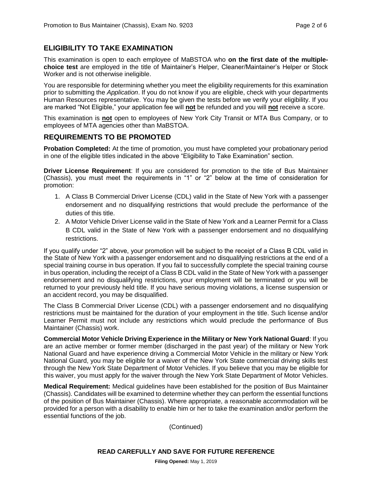#### **ELIGIBILITY TO TAKE EXAMINATION**

This examination is open to each employee of MaBSTOA who **on the first date of the multiplechoice test** are employed in the title of Maintainer's Helper, Cleaner/Maintainer's Helper or Stock Worker and is not otherwise ineligible.

You are responsible for determining whether you meet the eligibility requirements for this examination prior to submitting the *Application*. If you do not know if you are eligible, check with your departments Human Resources representative. You may be given the tests before we verify your eligibility. If you are marked "Not Eligible," your application fee will **not** be refunded and you will **not** receive a score.

This examination is **not** open to employees of New York City Transit or MTA Bus Company, or to employees of MTA agencies other than MaBSTOA.

#### **REQUIREMENTS TO BE PROMOTED**

**Probation Completed:** At the time of promotion, you must have completed your probationary period in one of the eligible titles indicated in the above "Eligibility to Take Examination" section.

**Driver License Requirement**: If you are considered for promotion to the title of Bus Maintainer (Chassis), you must meet the requirements in "1" or "2" below at the time of consideration for promotion:

- 1. A Class B Commercial Driver License (CDL) valid in the State of New York with a passenger endorsement and no disqualifying restrictions that would preclude the performance of the duties of this title.
- 2. A Motor Vehicle Driver License valid in the State of New York and a Learner Permit for a Class B CDL valid in the State of New York with a passenger endorsement and no disqualifying restrictions.

If you qualify under "2" above, your promotion will be subject to the receipt of a Class B CDL valid in the State of New York with a passenger endorsement and no disqualifying restrictions at the end of a special training course in bus operation. If you fail to successfully complete the special training course in bus operation, including the receipt of a Class B CDL valid in the State of New York with a passenger endorsement and no disqualifying restrictions, your employment will be terminated or you will be returned to your previously held title. If you have serious moving violations, a license suspension or an accident record, you may be disqualified.

The Class B Commercial Driver License (CDL) with a passenger endorsement and no disqualifying restrictions must be maintained for the duration of your employment in the title. Such license and/or Learner Permit must not include any restrictions which would preclude the performance of Bus Maintainer (Chassis) work.

**Commercial Motor Vehicle Driving Experience in the Military or New York National Guard**: If you are an active member or former member (discharged in the past year) of the military or New York National Guard and have experience driving a Commercial Motor Vehicle in the military or New York National Guard, you may be eligible for a waiver of the New York State commercial driving skills test through the New York State Department of Motor Vehicles. If you believe that you may be eligible for this waiver, you must apply for the waiver through the New York State Department of Motor Vehicles.

**Medical Requirement:** Medical guidelines have been established for the position of Bus Maintainer (Chassis). Candidates will be examined to determine whether they can perform the essential functions of the position of Bus Maintainer (Chassis). Where appropriate, a reasonable accommodation will be provided for a person with a disability to enable him or her to take the examination and/or perform the essential functions of the job.

(Continued)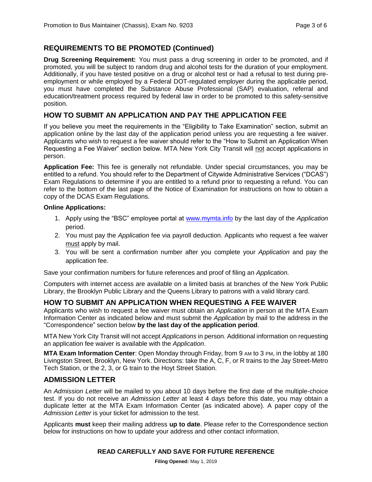#### **REQUIREMENTS TO BE PROMOTED (Continued)**

**Drug Screening Requirement:** You must pass a drug screening in order to be promoted, and if promoted, you will be subject to random drug and alcohol tests for the duration of your employment. Additionally, if you have tested positive on a drug or alcohol test or had a refusal to test during preemployment or while employed by a Federal DOT-regulated employer during the applicable period, you must have completed the Substance Abuse Professional (SAP) evaluation, referral and education/treatment process required by federal law in order to be promoted to this safety-sensitive position.

#### **HOW TO SUBMIT AN APPLICATION AND PAY THE APPLICATION FEE**

If you believe you meet the requirements in the "Eligibility to Take Examination" section, submit an application online by the last day of the application period unless you are requesting a fee waiver. Applicants who wish to request a fee waiver should refer to the "How to Submit an Application When Requesting a Fee Waiver" section below. MTA New York City Transit will not accept applications in person.

**Application Fee:** This fee is generally not refundable. Under special circumstances, you may be entitled to a refund. You should refer to the Department of Citywide Administrative Services ("DCAS") Exam Regulations to determine if you are entitled to a refund prior to requesting a refund. You can refer to the bottom of the last page of the Notice of Examination for instructions on how to obtain a copy of the DCAS Exam Regulations.

#### **Online Applications:**

- 1. Apply using the "BSC" employee portal at [www.mymta.info](http://www.mymta.info/) by the last day of the *Application*  period.
- 2. You must pay the *Application* fee via payroll deduction. Applicants who request a fee waiver must apply by mail.
- 3. You will be sent a confirmation number after you complete your *Application* and pay the application fee.

Save your confirmation numbers for future references and proof of filing an *Application.*

Computers with internet access are available on a limited basis at branches of the New York Public Library, the Brooklyn Public Library and the Queens Library to patrons with a valid library card.

#### **HOW TO SUBMIT AN APPLICATION WHEN REQUESTING A FEE WAIVER**

Applicants who wish to request a fee waiver must obtain an *Application* in person at the MTA Exam Information Center as indicated below and must submit the *Application* by mail to the address in the "Correspondence" section below **by the last day of the application period**.

MTA New York City Transit will not accept *Applications* in person. Additional information on requesting an application fee waiver is available with the *Application*.

**MTA Exam Information Center**: Open Monday through Friday, from 9 AM to 3 PM, in the lobby at 180 Livingston Street, Brooklyn, New York. Directions: take the A, C, F, or R trains to the Jay Street-Metro Tech Station, or the 2, 3, or G train to the Hoyt Street Station.

#### **ADMISSION LETTER**

An *Admission Letter* will be mailed to you about 10 days before the first date of the multiple-choice test. If you do not receive an *Admission Letter* at least 4 days before this date, you may obtain a duplicate letter at the MTA Exam Information Center (as indicated above). A paper copy of the *Admission Letter* is your ticket for admission to the test.

Applicants **must** keep their mailing address **up to date**. Please refer to the Correspondence section below for instructions on how to update your address and other contact information.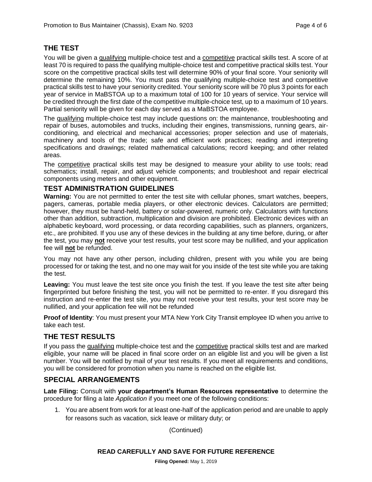#### **THE TEST**

You will be given a qualifying multiple-choice test and a competitive practical skills test. A score of at least 70 is required to pass the qualifying multiple-choice test and competitive practical skills test. Your score on the competitive practical skills test will determine 90% of your final score. Your seniority will determine the remaining 10%. You must pass the qualifying multiple-choice test and competitive practical skills test to have your seniority credited. Your seniority score will be 70 plus 3 points for each year of service in MaBSTOA up to a maximum total of 100 for 10 years of service. Your service will be credited through the first date of the competitive multiple-choice test, up to a maximum of 10 years. Partial seniority will be given for each day served as a MaBSTOA employee.

The qualifying multiple-choice test may include questions on: the maintenance, troubleshooting and repair of buses, automobiles and trucks, including their engines, transmissions, running gears, airconditioning, and electrical and mechanical accessories; proper selection and use of materials, machinery and tools of the trade; safe and efficient work practices; reading and interpreting specifications and drawings; related mathematical calculations; record keeping; and other related areas.

The competitive practical skills test may be designed to measure your ability to use tools; read schematics; install, repair, and adjust vehicle components; and troubleshoot and repair electrical components using meters and other equipment.

#### **TEST ADMINISTRATION GUIDELINES**

**Warning:** You are not permitted to enter the test site with cellular phones, smart watches, beepers, pagers, cameras, portable media players, or other electronic devices. Calculators are permitted; however, they must be hand-held, battery or solar-powered, numeric only. Calculators with functions other than addition, subtraction, multiplication and division are prohibited. Electronic devices with an alphabetic keyboard, word processing, or data recording capabilities, such as planners, organizers, etc., are prohibited. If you use any of these devices in the building at any time before, during, or after the test, you may **not** receive your test results, your test score may be nullified, and your application fee will **not** be refunded.

You may not have any other person, including children, present with you while you are being processed for or taking the test, and no one may wait for you inside of the test site while you are taking the test.

**Leaving:** You must leave the test site once you finish the test. If you leave the test site after being fingerprinted but before finishing the test, you will not be permitted to re-enter. If you disregard this instruction and re-enter the test site, you may not receive your test results, your test score may be nullified, and your application fee will not be refunded

**Proof of Identity**: You must present your MTA New York City Transit employee ID when you arrive to take each test.

#### **THE TEST RESULTS**

If you pass the qualifying multiple-choice test and the competitive practical skills test and are marked eligible, your name will be placed in final score order on an eligible list and you will be given a list number. You will be notified by mail of your test results. If you meet all requirements and conditions, you will be considered for promotion when you name is reached on the eligible list.

#### **SPECIAL ARRANGEMENTS**

**Late Filing:** Consult with **your department's Human Resources representative** to determine the procedure for filing a late *Application* if you meet one of the following conditions:

1. You are absent from work for at least one-half of the application period and are unable to apply for reasons such as vacation, sick leave or military duty; or

(Continued)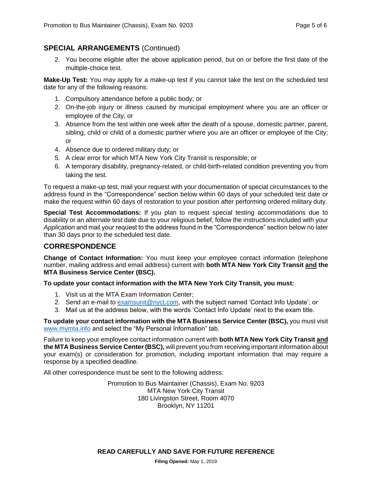#### **SPECIAL ARRANGEMENTS** (Continued)

2. You become eligible after the above application period, but on or before the first date of the multiple-choice test.

**Make-Up Test:** You may apply for a make-up test if you cannot take the test on the scheduled test date for any of the following reasons:

- 1. Compulsory attendance before a public body; or
- 2. On-the-job injury or illness caused by municipal employment where you are an officer or employee of the City; or
- 3. Absence from the test within one week after the death of a spouse, domestic partner, parent, sibling, child or child of a domestic partner where you are an officer or employee of the City; or
- 4. Absence due to ordered military duty; or
- 5. A clear error for which MTA New York City Transit is responsible; or
- 6. A temporary disability, pregnancy-related, or child-birth-related condition preventing you from taking the test.

To request a make-up test, mail your request with your documentation of special circumstances to the address found in the "Correspondence" section below within 60 days of your scheduled test date or make the request within 60 days of restoration to your position after performing ordered military duty.

**Special Test Accommodations:** If you plan to request special testing accommodations due to disability or an alternate test date due to your religious belief, follow the instructions included with your *Application* and mail your request to the address found in the "Correspondence" section below no later than 30 days prior to the scheduled test date.

#### **CORRESPONDENCE**

**Change of Contact Information:** You must keep your employee contact information (telephone number, mailing address and email address) current with **both MTA New York City Transit and the MTA Business Service Center (BSC).**

**To update your contact information with the MTA New York City Transit, you must:**

- 1. Visit us at the MTA Exam Information Center;
- 2. Send an e-mail to [examsunit@nyct.com,](mailto:examsunit@nyct.com) with the subject named 'Contact Info Update'; or
- 3. Mail us at the address below, with the words 'Contact Info Update' next to the exam title.

**To update your contact information with the MTA Business Service Center (BSC),** you must visit [www.mymta.info](http://www.mymta.info/) and select the "My Personal Information" tab.

Failure to keep your employee contact information current with **both MTA New York City Transit and the MTA Business Service Center (BSC),** will prevent you from receiving important information about your exam(s) or consideration for promotion, including important information that may require a response by a specified deadline.

All other correspondence must be sent to the following address:

Promotion to Bus Maintainer (Chassis), Exam No. 9203 MTA New York City Transit 180 Livingston Street, Room 4070 Brooklyn, NY 11201